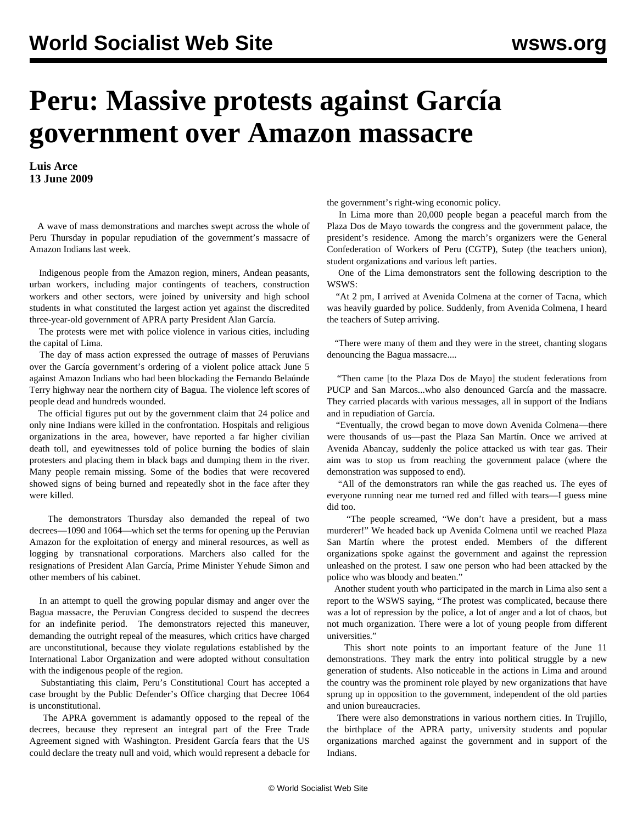## **Peru: Massive protests against García government over Amazon massacre**

**Luis Arce 13 June 2009**

 A wave of mass demonstrations and marches swept across the whole of Peru Thursday in popular repudiation of the government's massacre of Amazon Indians last week.

 Indigenous people from the Amazon region, miners, Andean peasants, urban workers, including major contingents of teachers, construction workers and other sectors, were joined by university and high school students in what constituted the largest action yet against the discredited three-year-old government of APRA party President Alan García.

 The protests were met with police violence in various cities, including the capital of Lima.

 The day of mass action expressed the outrage of masses of Peruvians over the García government's ordering of a violent police attack June 5 against Amazon Indians who had been blockading the Fernando Belaúnde Terry highway near the northern city of Bagua. The violence left scores of people dead and hundreds wounded.

 The official figures put out by the government claim that 24 police and only nine Indians were killed in the confrontation. Hospitals and religious organizations in the area, however, have reported a far higher civilian death toll, and eyewitnesses told of police burning the bodies of slain protesters and placing them in black bags and dumping them in the river. Many people remain missing. Some of the bodies that were recovered showed signs of being burned and repeatedly shot in the face after they were killed.

 The demonstrators Thursday also demanded the repeal of two decrees—1090 and 1064—which set the terms for opening up the Peruvian Amazon for the exploitation of energy and mineral resources, as well as logging by transnational corporations. Marchers also called for the resignations of President Alan García, Prime Minister Yehude Simon and other members of his cabinet.

 In an attempt to quell the growing popular dismay and anger over the Bagua massacre, the Peruvian Congress decided to suspend the decrees for an indefinite period. The demonstrators rejected this maneuver, demanding the outright repeal of the measures, which critics have charged are unconstitutional, because they violate regulations established by the International Labor Organization and were adopted without consultation with the indigenous people of the region.

 Substantiating this claim, Peru's Constitutional Court has accepted a case brought by the Public Defender's Office charging that Decree 1064 is unconstitutional.

 The APRA government is adamantly opposed to the repeal of the decrees, because they represent an integral part of the Free Trade Agreement signed with Washington. President García fears that the US could declare the treaty null and void, which would represent a debacle for the government's right-wing economic policy.

 In Lima more than 20,000 people began a peaceful march from the Plaza Dos de Mayo towards the congress and the government palace, the president's residence. Among the march's organizers were the General Confederation of Workers of Peru (CGTP), Sutep (the teachers union), student organizations and various left parties.

 One of the Lima demonstrators sent the following description to the WSWS:

 "At 2 pm, I arrived at Avenida Colmena at the corner of Tacna, which was heavily guarded by police. Suddenly, from Avenida Colmena, I heard the teachers of Sutep arriving.

 "There were many of them and they were in the street, chanting slogans denouncing the Bagua massacre....

 "Then came [to the Plaza Dos de Mayo] the student federations from PUCP and San Marcos...who also denounced García and the massacre. They carried placards with various messages, all in support of the Indians and in repudiation of García.

 "Eventually, the crowd began to move down Avenida Colmena—there were thousands of us—past the Plaza San Martín. Once we arrived at Avenida Abancay, suddenly the police attacked us with tear gas. Their aim was to stop us from reaching the government palace (where the demonstration was supposed to end).

 "All of the demonstrators ran while the gas reached us. The eyes of everyone running near me turned red and filled with tears—I guess mine did too.

 "The people screamed, "We don't have a president, but a mass murderer!" We headed back up Avenida Colmena until we reached Plaza San Martín where the protest ended. Members of the different organizations spoke against the government and against the repression unleashed on the protest. I saw one person who had been attacked by the police who was bloody and beaten."

 Another student youth who participated in the march in Lima also sent a report to the WSWS saying, "The protest was complicated, because there was a lot of repression by the police, a lot of anger and a lot of chaos, but not much organization. There were a lot of young people from different universities."

 This short note points to an important feature of the June 11 demonstrations. They mark the entry into political struggle by a new generation of students. Also noticeable in the actions in Lima and around the country was the prominent role played by new organizations that have sprung up in opposition to the government, independent of the old parties and union bureaucracies.

 There were also demonstrations in various northern cities. In Trujillo, the birthplace of the APRA party, university students and popular organizations marched against the government and in support of the Indians.